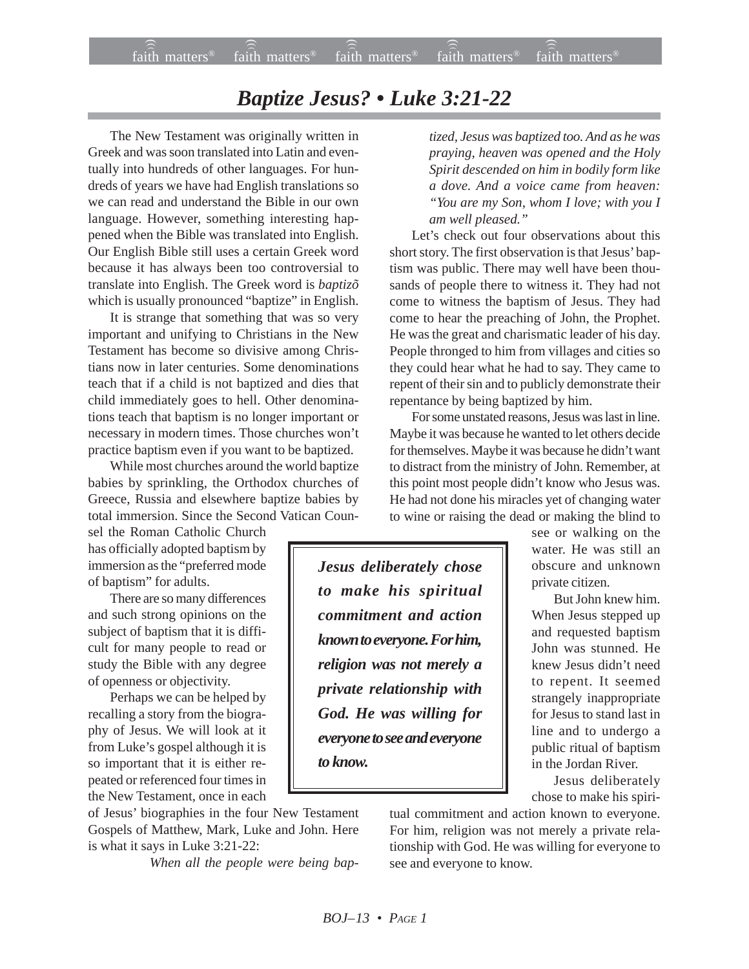## *Baptize Jesus? • Luke 3:21-22*

The New Testament was originally written in Greek and was soon translated into Latin and eventually into hundreds of other languages. For hundreds of years we have had English translations so we can read and understand the Bible in our own language. However, something interesting happened when the Bible was translated into English. Our English Bible still uses a certain Greek word because it has always been too controversial to translate into English. The Greek word is *baptizõ* which is usually pronounced "baptize" in English.

It is strange that something that was so very important and unifying to Christians in the New Testament has become so divisive among Christians now in later centuries. Some denominations teach that if a child is not baptized and dies that child immediately goes to hell. Other denominations teach that baptism is no longer important or necessary in modern times. Those churches won't practice baptism even if you want to be baptized.

While most churches around the world baptize babies by sprinkling, the Orthodox churches of Greece, Russia and elsewhere baptize babies by total immersion. Since the Second Vatican Coun-

sel the Roman Catholic Church has officially adopted baptism by immersion as the "preferred mode of baptism" for adults.

There are so many differences and such strong opinions on the subject of baptism that it is difficult for many people to read or study the Bible with any degree of openness or objectivity.

Perhaps we can be helped by recalling a story from the biography of Jesus. We will look at it from Luke's gospel although it is so important that it is either repeated or referenced four times in the New Testament, once in each

of Jesus' biographies in the four New Testament Gospels of Matthew, Mark, Luke and John. Here is what it says in Luke 3:21-22:

*When all the people were being bap-*

*tized, Jesus was baptized too. And as he was praying, heaven was opened and the Holy Spirit descended on him in bodily form like a dove. And a voice came from heaven: "You are my Son, whom I love; with you I am well pleased."*

Let's check out four observations about this short story. The first observation is that Jesus' baptism was public. There may well have been thousands of people there to witness it. They had not come to witness the baptism of Jesus. They had come to hear the preaching of John, the Prophet. He was the great and charismatic leader of his day. People thronged to him from villages and cities so they could hear what he had to say. They came to repent of their sin and to publicly demonstrate their repentance by being baptized by him.

For some unstated reasons, Jesus was last in line. Maybe it was because he wanted to let others decide for themselves. Maybe it was because he didn't want to distract from the ministry of John. Remember, at this point most people didn't know who Jesus was. He had not done his miracles yet of changing water to wine or raising the dead or making the blind to

*Jesus deliberately chose to make his spiritual commitment and action known to everyone. For him, religion was not merely a private relationship with God. He was willing for everyone to see and everyone to know.*

see or walking on the water. He was still an obscure and unknown private citizen.

But John knew him. When Jesus stepped up and requested baptism John was stunned. He knew Jesus didn't need to repent. It seemed strangely inappropriate for Jesus to stand last in line and to undergo a public ritual of baptism in the Jordan River.

Jesus deliberately chose to make his spiri-

tual commitment and action known to everyone. For him, religion was not merely a private relationship with God. He was willing for everyone to see and everyone to know.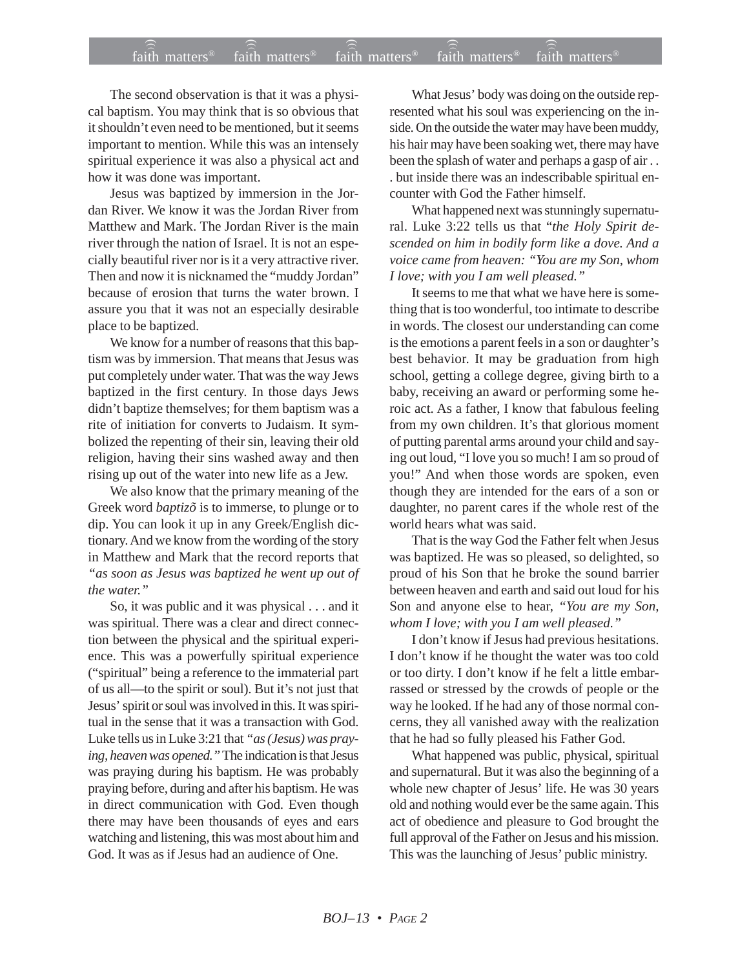## $f$ aith matters® staith matters® staith matters® staith matters® staith matters® faith matters<sup>®</sup> faith matters<sup>®</sup> faith matters<sup>®</sup>

The second observation is that it was a physical baptism. You may think that is so obvious that it shouldn't even need to be mentioned, but it seems important to mention. While this was an intensely spiritual experience it was also a physical act and how it was done was important.

Jesus was baptized by immersion in the Jordan River. We know it was the Jordan River from Matthew and Mark. The Jordan River is the main river through the nation of Israel. It is not an especially beautiful river nor is it a very attractive river. Then and now it is nicknamed the "muddy Jordan" because of erosion that turns the water brown. I assure you that it was not an especially desirable place to be baptized.

We know for a number of reasons that this baptism was by immersion. That means that Jesus was put completely under water. That was the way Jews baptized in the first century. In those days Jews didn't baptize themselves; for them baptism was a rite of initiation for converts to Judaism. It symbolized the repenting of their sin, leaving their old religion, having their sins washed away and then rising up out of the water into new life as a Jew.

We also know that the primary meaning of the Greek word *baptizõ* is to immerse, to plunge or to dip. You can look it up in any Greek/English dictionary. And we know from the wording of the story in Matthew and Mark that the record reports that *"as soon as Jesus was baptized he went up out of the water."*

So, it was public and it was physical . . . and it was spiritual. There was a clear and direct connection between the physical and the spiritual experience. This was a powerfully spiritual experience ("spiritual" being a reference to the immaterial part of us all—to the spirit or soul). But it's not just that Jesus' spirit or soul was involved in this. It was spiritual in the sense that it was a transaction with God. Luke tells us in Luke 3:21 that *"as (Jesus) was praying, heaven was opened."* The indication is that Jesus was praying during his baptism. He was probably praying before, during and after his baptism. He was in direct communication with God. Even though there may have been thousands of eyes and ears watching and listening, this was most about him and God. It was as if Jesus had an audience of One.

What Jesus' body was doing on the outside represented what his soul was experiencing on the inside. On the outside the water may have been muddy, his hair may have been soaking wet, there may have been the splash of water and perhaps a gasp of air . . . but inside there was an indescribable spiritual encounter with God the Father himself.

What happened next was stunningly supernatural. Luke 3:22 tells us that "*the Holy Spirit descended on him in bodily form like a dove. And a voice came from heaven: "You are my Son, whom I love; with you I am well pleased."*

It seems to me that what we have here is something that is too wonderful, too intimate to describe in words. The closest our understanding can come is the emotions a parent feels in a son or daughter's best behavior. It may be graduation from high school, getting a college degree, giving birth to a baby, receiving an award or performing some heroic act. As a father, I know that fabulous feeling from my own children. It's that glorious moment of putting parental arms around your child and saying out loud, "I love you so much! I am so proud of you!" And when those words are spoken, even though they are intended for the ears of a son or daughter, no parent cares if the whole rest of the world hears what was said.

That is the way God the Father felt when Jesus was baptized. He was so pleased, so delighted, so proud of his Son that he broke the sound barrier between heaven and earth and said out loud for his Son and anyone else to hear, *"You are my Son, whom I love; with you I am well pleased."*

I don't know if Jesus had previous hesitations. I don't know if he thought the water was too cold or too dirty. I don't know if he felt a little embarrassed or stressed by the crowds of people or the way he looked. If he had any of those normal concerns, they all vanished away with the realization that he had so fully pleased his Father God.

What happened was public, physical, spiritual and supernatural. But it was also the beginning of a whole new chapter of Jesus' life. He was 30 years old and nothing would ever be the same again. This act of obedience and pleasure to God brought the full approval of the Father on Jesus and his mission. This was the launching of Jesus' public ministry.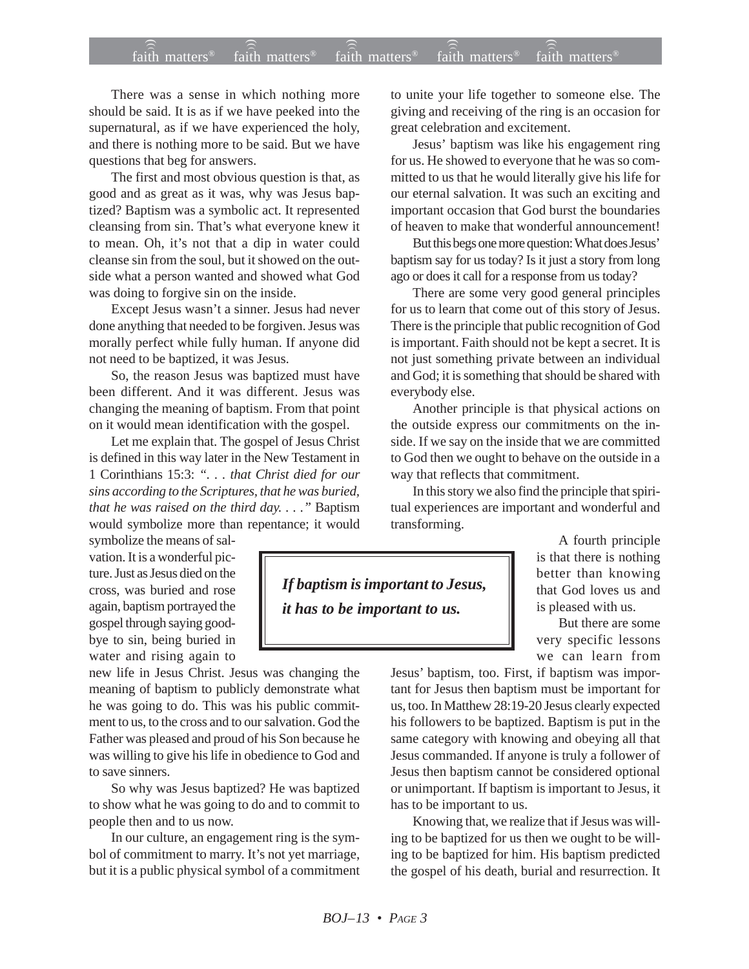## faith matters® faith matters® faith matters® faith matters® faith matters® ))) ))) ))) faith matters<sup>®</sup> faith matters<sup>®</sup>

There was a sense in which nothing more should be said. It is as if we have peeked into the supernatural, as if we have experienced the holy, and there is nothing more to be said. But we have questions that beg for answers.

The first and most obvious question is that, as good and as great as it was, why was Jesus baptized? Baptism was a symbolic act. It represented cleansing from sin. That's what everyone knew it to mean. Oh, it's not that a dip in water could cleanse sin from the soul, but it showed on the outside what a person wanted and showed what God was doing to forgive sin on the inside.

Except Jesus wasn't a sinner. Jesus had never done anything that needed to be forgiven. Jesus was morally perfect while fully human. If anyone did not need to be baptized, it was Jesus.

So, the reason Jesus was baptized must have been different. And it was different. Jesus was changing the meaning of baptism. From that point on it would mean identification with the gospel.

Let me explain that. The gospel of Jesus Christ is defined in this way later in the New Testament in 1 Corinthians 15:3: *". . . that Christ died for our sins according to the Scriptures, that he was buried, that he was raised on the third day. . . ."* Baptism would symbolize more than repentance; it would

symbolize the means of salvation. It is a wonderful picture. Just as Jesus died on the cross, was buried and rose again, baptism portrayed the gospel through saying goodbye to sin, being buried in water and rising again to

new life in Jesus Christ. Jesus was changing the meaning of baptism to publicly demonstrate what he was going to do. This was his public commitment to us, to the cross and to our salvation. God the Father was pleased and proud of his Son because he was willing to give his life in obedience to God and to save sinners.

So why was Jesus baptized? He was baptized to show what he was going to do and to commit to people then and to us now.

In our culture, an engagement ring is the symbol of commitment to marry. It's not yet marriage, but it is a public physical symbol of a commitment to unite your life together to someone else. The giving and receiving of the ring is an occasion for great celebration and excitement.

Jesus' baptism was like his engagement ring for us. He showed to everyone that he was so committed to us that he would literally give his life for our eternal salvation. It was such an exciting and important occasion that God burst the boundaries of heaven to make that wonderful announcement!

But this begs one more question: What does Jesus' baptism say for us today? Is it just a story from long ago or does it call for a response from us today?

There are some very good general principles for us to learn that come out of this story of Jesus. There is the principle that public recognition of God is important. Faith should not be kept a secret. It is not just something private between an individual and God; it is something that should be shared with everybody else.

Another principle is that physical actions on the outside express our commitments on the inside. If we say on the inside that we are committed to God then we ought to behave on the outside in a way that reflects that commitment.

In this story we also find the principle that spiritual experiences are important and wonderful and transforming.

*If baptism is important to Jesus, it has to be important to us.*

A fourth principle is that there is nothing better than knowing that God loves us and is pleased with us.

But there are some very specific lessons we can learn from

Jesus' baptism, too. First, if baptism was important for Jesus then baptism must be important for us, too. In Matthew 28:19-20 Jesus clearly expected his followers to be baptized. Baptism is put in the same category with knowing and obeying all that Jesus commanded. If anyone is truly a follower of Jesus then baptism cannot be considered optional or unimportant. If baptism is important to Jesus, it has to be important to us.

Knowing that, we realize that if Jesus was willing to be baptized for us then we ought to be willing to be baptized for him. His baptism predicted the gospel of his death, burial and resurrection. It